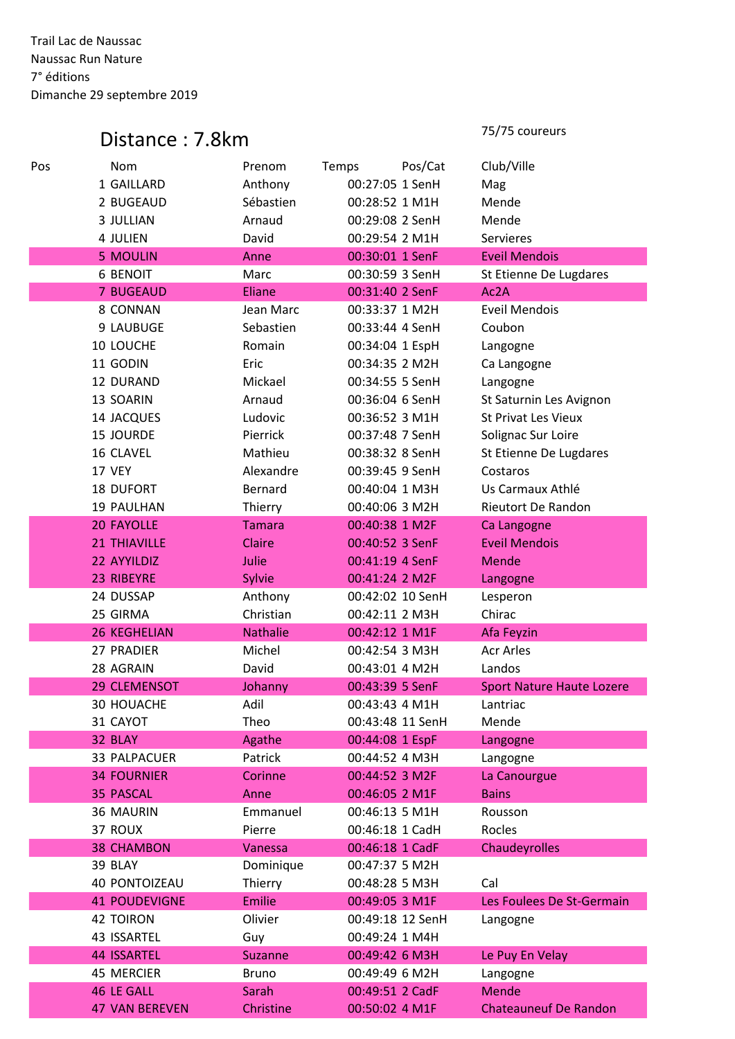Trail Lac de Naussac Naussac Run Nature 7° éditions Dimanche 29 septembre 2019

## Distance : 7.8km

75/75 coureurs

| Club/Ville<br>Pos/Cat<br>Temps<br>1 GAILLARD<br>Anthony<br>00:27:05 1 SenH<br>Mag<br>Sébastien<br>2 BUGEAUD<br>00:28:52 1 M1H<br>Mende<br>00:29:08 2 SenH<br>Mende<br>3 JULLIAN<br>Arnaud<br>David<br>00:29:54 2 M1H<br>Servieres<br>4 JULIEN<br><b>Eveil Mendois</b><br><b>5 MOULIN</b><br>Anne<br>00:30:01 1 SenF<br><b>6 BENOIT</b><br>Marc<br>00:30:59 3 SenH<br>St Etienne De Lugdares<br>Ac2A<br><b>7 BUGEAUD</b><br>Eliane<br>00:31:40 2 SenF<br>Jean Marc<br><b>Eveil Mendois</b><br>8 CONNAN<br>00:33:37 1 M2H<br>9 LAUBUGE<br>Sebastien<br>00:33:44 4 SenH<br>Coubon<br>10 LOUCHE<br>Romain<br>00:34:04 1 EspH<br>Langogne<br>11 GODIN<br>Eric<br>00:34:35 2 M2H<br>Ca Langogne<br>Mickael<br>12 DURAND<br>00:34:55 5 SenH<br>Langogne<br>Arnaud<br>00:36:04 6 SenH<br>13 SOARIN<br>St Saturnin Les Avignon<br>Ludovic<br>00:36:52 3 M1H<br>14 JACQUES<br><b>St Privat Les Vieux</b><br><b>15 JOURDE</b><br>Pierrick<br>00:37:48 7 SenH<br>Solignac Sur Loire<br>Mathieu<br>00:38:32 8 SenH<br>16 CLAVEL<br>St Etienne De Lugdares |
|----------------------------------------------------------------------------------------------------------------------------------------------------------------------------------------------------------------------------------------------------------------------------------------------------------------------------------------------------------------------------------------------------------------------------------------------------------------------------------------------------------------------------------------------------------------------------------------------------------------------------------------------------------------------------------------------------------------------------------------------------------------------------------------------------------------------------------------------------------------------------------------------------------------------------------------------------------------------------------------------------------------------------------------------|
|                                                                                                                                                                                                                                                                                                                                                                                                                                                                                                                                                                                                                                                                                                                                                                                                                                                                                                                                                                                                                                              |
|                                                                                                                                                                                                                                                                                                                                                                                                                                                                                                                                                                                                                                                                                                                                                                                                                                                                                                                                                                                                                                              |
|                                                                                                                                                                                                                                                                                                                                                                                                                                                                                                                                                                                                                                                                                                                                                                                                                                                                                                                                                                                                                                              |
|                                                                                                                                                                                                                                                                                                                                                                                                                                                                                                                                                                                                                                                                                                                                                                                                                                                                                                                                                                                                                                              |
|                                                                                                                                                                                                                                                                                                                                                                                                                                                                                                                                                                                                                                                                                                                                                                                                                                                                                                                                                                                                                                              |
|                                                                                                                                                                                                                                                                                                                                                                                                                                                                                                                                                                                                                                                                                                                                                                                                                                                                                                                                                                                                                                              |
|                                                                                                                                                                                                                                                                                                                                                                                                                                                                                                                                                                                                                                                                                                                                                                                                                                                                                                                                                                                                                                              |
|                                                                                                                                                                                                                                                                                                                                                                                                                                                                                                                                                                                                                                                                                                                                                                                                                                                                                                                                                                                                                                              |
|                                                                                                                                                                                                                                                                                                                                                                                                                                                                                                                                                                                                                                                                                                                                                                                                                                                                                                                                                                                                                                              |
|                                                                                                                                                                                                                                                                                                                                                                                                                                                                                                                                                                                                                                                                                                                                                                                                                                                                                                                                                                                                                                              |
|                                                                                                                                                                                                                                                                                                                                                                                                                                                                                                                                                                                                                                                                                                                                                                                                                                                                                                                                                                                                                                              |
|                                                                                                                                                                                                                                                                                                                                                                                                                                                                                                                                                                                                                                                                                                                                                                                                                                                                                                                                                                                                                                              |
|                                                                                                                                                                                                                                                                                                                                                                                                                                                                                                                                                                                                                                                                                                                                                                                                                                                                                                                                                                                                                                              |
|                                                                                                                                                                                                                                                                                                                                                                                                                                                                                                                                                                                                                                                                                                                                                                                                                                                                                                                                                                                                                                              |
|                                                                                                                                                                                                                                                                                                                                                                                                                                                                                                                                                                                                                                                                                                                                                                                                                                                                                                                                                                                                                                              |
|                                                                                                                                                                                                                                                                                                                                                                                                                                                                                                                                                                                                                                                                                                                                                                                                                                                                                                                                                                                                                                              |
| Alexandre<br>17 VEY<br>00:39:45 9 SenH<br>Costaros                                                                                                                                                                                                                                                                                                                                                                                                                                                                                                                                                                                                                                                                                                                                                                                                                                                                                                                                                                                           |
| <b>Bernard</b><br>Us Carmaux Athlé<br><b>18 DUFORT</b><br>00:40:04 1 M3H                                                                                                                                                                                                                                                                                                                                                                                                                                                                                                                                                                                                                                                                                                                                                                                                                                                                                                                                                                     |
| 00:40:06 3 M2H<br><b>Rieutort De Randon</b><br>19 PAULHAN<br>Thierry                                                                                                                                                                                                                                                                                                                                                                                                                                                                                                                                                                                                                                                                                                                                                                                                                                                                                                                                                                         |
| <b>20 FAYOLLE</b><br><b>Tamara</b><br>00:40:38 1 M2F<br>Ca Langogne                                                                                                                                                                                                                                                                                                                                                                                                                                                                                                                                                                                                                                                                                                                                                                                                                                                                                                                                                                          |
| <b>Eveil Mendois</b><br><b>21 THIAVILLE</b><br>Claire<br>00:40:52 3 SenF                                                                                                                                                                                                                                                                                                                                                                                                                                                                                                                                                                                                                                                                                                                                                                                                                                                                                                                                                                     |
| Julie<br>00:41:19 4 SenF<br>22 AYYILDIZ<br>Mende                                                                                                                                                                                                                                                                                                                                                                                                                                                                                                                                                                                                                                                                                                                                                                                                                                                                                                                                                                                             |
| 23 RIBEYRE<br>Sylvie<br>00:41:24 2 M2F<br>Langogne                                                                                                                                                                                                                                                                                                                                                                                                                                                                                                                                                                                                                                                                                                                                                                                                                                                                                                                                                                                           |
| 24 DUSSAP<br>Anthony<br>00:42:02 10 SenH<br>Lesperon                                                                                                                                                                                                                                                                                                                                                                                                                                                                                                                                                                                                                                                                                                                                                                                                                                                                                                                                                                                         |
| Christian<br>25 GIRMA<br>00:42:11 2 M3H<br>Chirac                                                                                                                                                                                                                                                                                                                                                                                                                                                                                                                                                                                                                                                                                                                                                                                                                                                                                                                                                                                            |
| <b>26 KEGHELIAN</b><br><b>Nathalie</b><br>00:42:12 1 M1F<br>Afa Feyzin                                                                                                                                                                                                                                                                                                                                                                                                                                                                                                                                                                                                                                                                                                                                                                                                                                                                                                                                                                       |
| 27 PRADIER<br>Michel<br><b>Acr Arles</b><br>00:42:54 3 M3H                                                                                                                                                                                                                                                                                                                                                                                                                                                                                                                                                                                                                                                                                                                                                                                                                                                                                                                                                                                   |
| 28 AGRAIN<br>David<br>Landos<br>00:43:01 4 M2H                                                                                                                                                                                                                                                                                                                                                                                                                                                                                                                                                                                                                                                                                                                                                                                                                                                                                                                                                                                               |
| <b>29 CLEMENSOT</b><br>Johanny<br>00:43:39 5 SenF<br><b>Sport Nature Haute Lozere</b>                                                                                                                                                                                                                                                                                                                                                                                                                                                                                                                                                                                                                                                                                                                                                                                                                                                                                                                                                        |
| Adil<br>30 HOUACHE<br>00:43:43 4 M1H<br>Lantriac                                                                                                                                                                                                                                                                                                                                                                                                                                                                                                                                                                                                                                                                                                                                                                                                                                                                                                                                                                                             |
| 31 CAYOT<br>Theo<br>00:43:48 11 SenH<br>Mende                                                                                                                                                                                                                                                                                                                                                                                                                                                                                                                                                                                                                                                                                                                                                                                                                                                                                                                                                                                                |
| 32 BLAY<br>Agathe<br>00:44:08 1 EspF<br>Langogne                                                                                                                                                                                                                                                                                                                                                                                                                                                                                                                                                                                                                                                                                                                                                                                                                                                                                                                                                                                             |
| 33 PALPACUER<br>Patrick<br>00:44:52 4 M3H<br>Langogne                                                                                                                                                                                                                                                                                                                                                                                                                                                                                                                                                                                                                                                                                                                                                                                                                                                                                                                                                                                        |
| <b>34 FOURNIER</b><br>Corinne<br>00:44:52 3 M2F<br>La Canourgue                                                                                                                                                                                                                                                                                                                                                                                                                                                                                                                                                                                                                                                                                                                                                                                                                                                                                                                                                                              |
| <b>35 PASCAL</b><br>Anne<br>00:46:05 2 M1F<br><b>Bains</b>                                                                                                                                                                                                                                                                                                                                                                                                                                                                                                                                                                                                                                                                                                                                                                                                                                                                                                                                                                                   |
| 36 MAURIN<br>Emmanuel<br>00:46:13 5 M1H<br>Rousson                                                                                                                                                                                                                                                                                                                                                                                                                                                                                                                                                                                                                                                                                                                                                                                                                                                                                                                                                                                           |
| Rocles<br>37 ROUX<br>Pierre<br>00:46:18 1 CadH                                                                                                                                                                                                                                                                                                                                                                                                                                                                                                                                                                                                                                                                                                                                                                                                                                                                                                                                                                                               |
| Chaudeyrolles<br><b>38 CHAMBON</b><br>00:46:18 1 CadF<br>Vanessa                                                                                                                                                                                                                                                                                                                                                                                                                                                                                                                                                                                                                                                                                                                                                                                                                                                                                                                                                                             |
| 39 BLAY<br>Dominique<br>00:47:37 5 M2H                                                                                                                                                                                                                                                                                                                                                                                                                                                                                                                                                                                                                                                                                                                                                                                                                                                                                                                                                                                                       |
| 40 PONTOIZEAU<br>Thierry<br>00:48:28 5 M3H<br>Cal                                                                                                                                                                                                                                                                                                                                                                                                                                                                                                                                                                                                                                                                                                                                                                                                                                                                                                                                                                                            |
| <b>41 POUDEVIGNE</b><br>Emilie<br>00:49:05 3 M1F<br>Les Foulees De St-Germain                                                                                                                                                                                                                                                                                                                                                                                                                                                                                                                                                                                                                                                                                                                                                                                                                                                                                                                                                                |
| <b>42 TOIRON</b><br>Olivier<br>00:49:18 12 SenH<br>Langogne                                                                                                                                                                                                                                                                                                                                                                                                                                                                                                                                                                                                                                                                                                                                                                                                                                                                                                                                                                                  |
| 00:49:24 1 M4H<br>43 ISSARTEL<br>Guy                                                                                                                                                                                                                                                                                                                                                                                                                                                                                                                                                                                                                                                                                                                                                                                                                                                                                                                                                                                                         |
| 44 ISSARTEL<br><b>Suzanne</b><br>00:49:42 6 M3H<br>Le Puy En Velay                                                                                                                                                                                                                                                                                                                                                                                                                                                                                                                                                                                                                                                                                                                                                                                                                                                                                                                                                                           |
| <b>45 MERCIER</b><br><b>Bruno</b><br>00:49:49 6 M2H<br>Langogne                                                                                                                                                                                                                                                                                                                                                                                                                                                                                                                                                                                                                                                                                                                                                                                                                                                                                                                                                                              |
| 46 LE GALL<br>00:49:51 2 CadF<br><b>Mende</b><br>Sarah                                                                                                                                                                                                                                                                                                                                                                                                                                                                                                                                                                                                                                                                                                                                                                                                                                                                                                                                                                                       |
| <b>Chateauneuf De Randon</b><br><b>47 VAN BEREVEN</b><br>Christine<br>00:50:02 4 M1F                                                                                                                                                                                                                                                                                                                                                                                                                                                                                                                                                                                                                                                                                                                                                                                                                                                                                                                                                         |